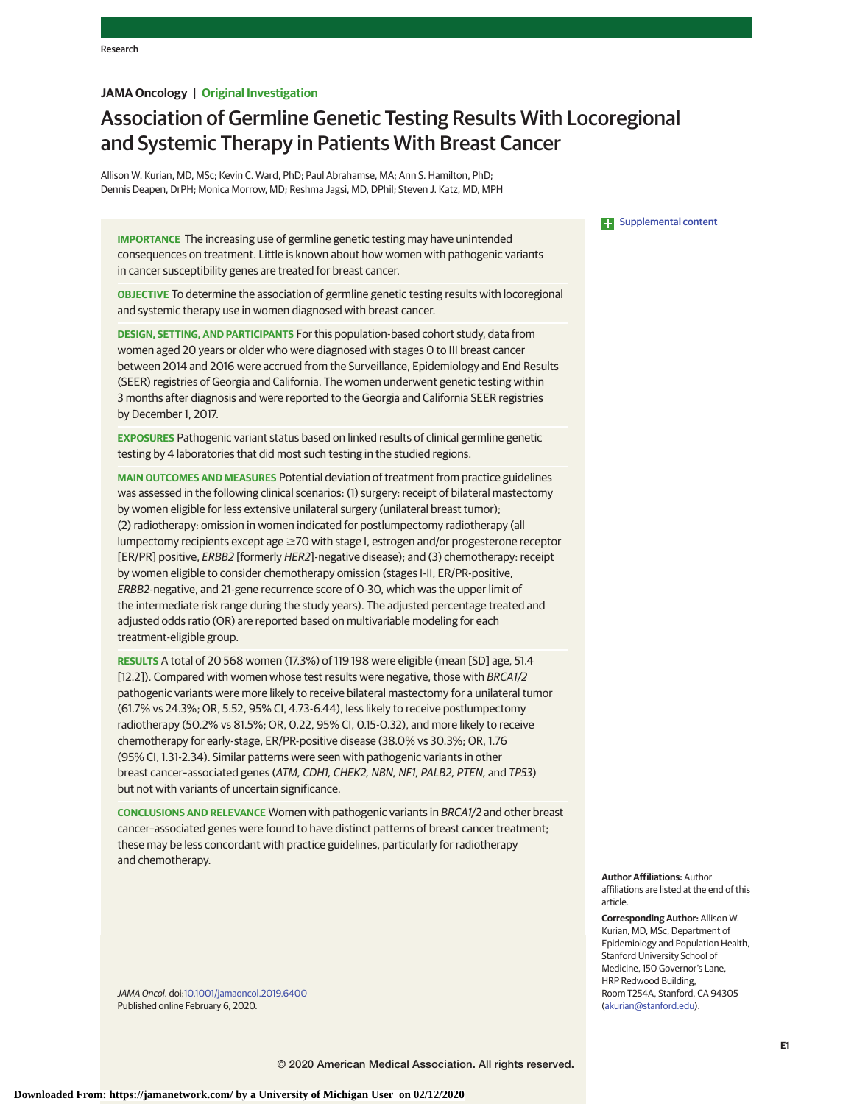# **JAMA Oncology | Original Investigation**

# Association of Germline Genetic Testing Results With Locoregional and Systemic Therapy in Patients With Breast Cancer

Allison W. Kurian, MD, MSc; Kevin C. Ward, PhD; Paul Abrahamse, MA; Ann S. Hamilton, PhD; Dennis Deapen, DrPH; Monica Morrow, MD; Reshma Jagsi, MD, DPhil; Steven J. Katz, MD, MPH

**IMPORTANCE** The increasing use of germline genetic testing may have unintended consequences on treatment. Little is known about how women with pathogenic variants in cancer susceptibility genes are treated for breast cancer.

**OBJECTIVE** To determine the association of germline genetic testing results with locoregional and systemic therapy use in women diagnosed with breast cancer.

**DESIGN, SETTING, AND PARTICIPANTS** For this population-based cohort study, data from women aged 20 years or older who were diagnosed with stages 0 to III breast cancer between 2014 and 2016 were accrued from the Surveillance, Epidemiology and End Results (SEER) registries of Georgia and California. The women underwent genetic testing within 3 months after diagnosis and were reported to the Georgia and California SEER registries by December 1, 2017.

**EXPOSURES** Pathogenic variant status based on linked results of clinical germline genetic testing by 4 laboratories that did most such testing in the studied regions.

**MAIN OUTCOMES AND MEASURES** Potential deviation of treatment from practice guidelines was assessed in the following clinical scenarios: (1) surgery: receipt of bilateral mastectomy by women eligible for less extensive unilateral surgery (unilateral breast tumor); (2) radiotherapy: omission in women indicated for postlumpectomy radiotherapy (all lumpectomy recipients except age  $\geq$ 70 with stage I, estrogen and/or progesterone receptor [ER/PR] positive, ERBB2 [formerly HER2]-negative disease); and (3) chemotherapy: receipt by women eligible to consider chemotherapy omission (stages I-II, ER/PR-positive, ERBB2-negative, and 21-gene recurrence score of 0-30, which was the upper limit of the intermediate risk range during the study years). The adjusted percentage treated and adjusted odds ratio (OR) are reported based on multivariable modeling for each treatment-eligible group.

**RESULTS** A total of 20 568 women (17.3%) of 119 198 were eligible (mean [SD] age, 51.4 [12.2]). Compared with women whose test results were negative, those with BRCA1/2 pathogenic variants were more likely to receive bilateral mastectomy for a unilateral tumor (61.7% vs 24.3%; OR, 5.52, 95% CI, 4.73-6.44), less likely to receive postlumpectomy radiotherapy (50.2% vs 81.5%; OR, 0.22, 95% CI, 0.15-0.32), and more likely to receive chemotherapy for early-stage, ER/PR-positive disease (38.0% vs 30.3%; OR, 1.76 (95% CI, 1.31-2.34). Similar patterns were seen with pathogenic variants in other breast cancer–associated genes (ATM, CDH1, CHEK2, NBN, NF1, PALB2, PTEN, and TP53) but not with variants of uncertain significance.

**CONCLUSIONS AND RELEVANCE** Women with pathogenic variants in BRCA1/2 and other breast cancer–associated genes were found to have distinct patterns of breast cancer treatment; these may be less concordant with practice guidelines, particularly for radiotherapy and chemotherapy.

JAMA Oncol. doi[:10.1001/jamaoncol.2019.6400](https://jamanetwork.com/journals/jama/fullarticle/10.1001/jamaoncol.2019.6400?utm_campaign=articlePDF%26utm_medium=articlePDFlink%26utm_source=articlePDF%26utm_content=jamaoncol.2019.6400) Published online February 6, 2020.

**[Supplemental content](https://jamanetwork.com/journals/onc/fullarticle/10.1001/jamaoncol.2019.6400/?utm_campaign=articlePDF%26utm_medium=articlePDFlink%26utm_source=articlePDF%26utm_content=jamaoncol.2019.6400)** 

**Author Affiliations:** Author affiliations are listed at the end of this article.

**Corresponding Author:** Allison W. Kurian, MD, MSc, Department of Epidemiology and Population Health, Stanford University School of Medicine, 150 Governor's Lane, HRP Redwood Building, Room T254A, Stanford, CA 94305 [\(akurian@stanford.edu\)](mailto:akurian@stanford.edu).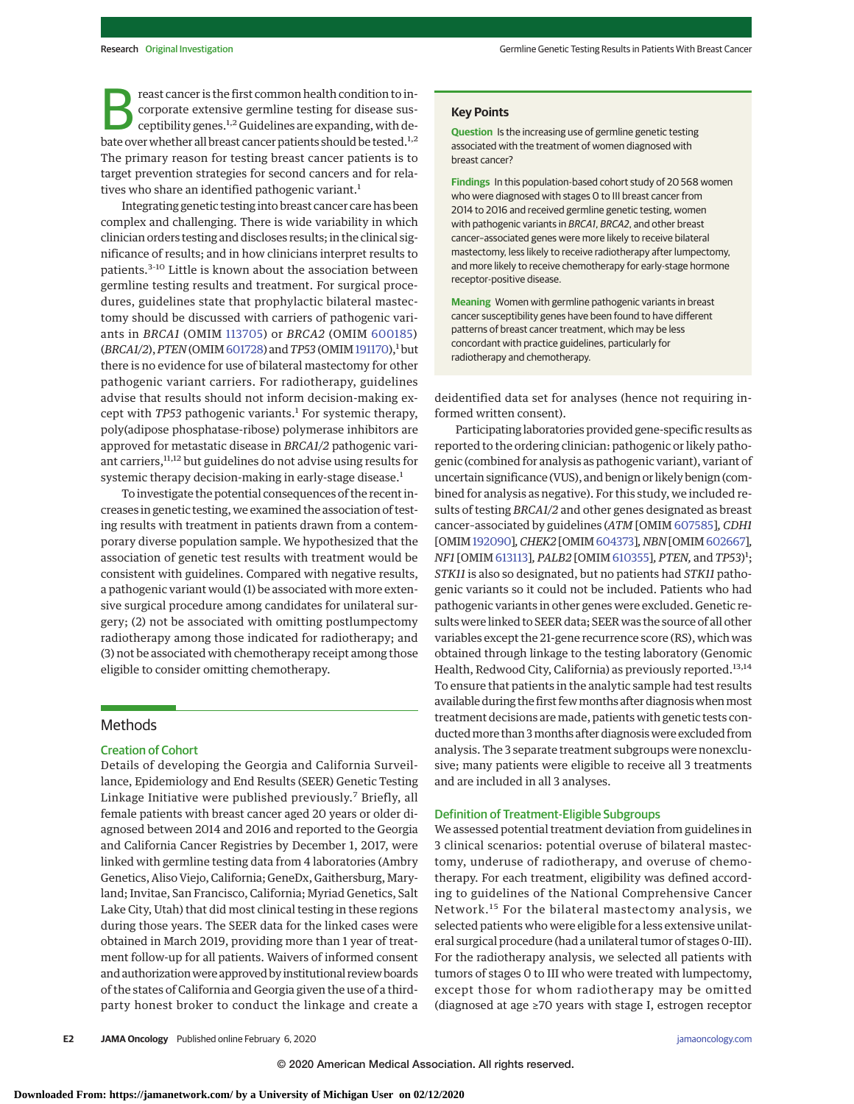**Exercise** cancer is the first common health condition to in-<br>corporate extensive germline testing for disease sus-<br>ceptibility genes.<sup>1,2</sup> Guidelines are expanding, with de-<br>bate over whether all broat cancer patients sho corporate extensive germline testing for disease susbate over whether all breast cancer patients should be tested.<sup>1,2</sup> The primary reason for testing breast cancer patients is to target prevention strategies for second cancers and for relatives who share an identified pathogenic variant.<sup>1</sup>

Integrating genetic testing into breast cancer care has been complex and challenging. There is wide variability in which clinician orders testing and discloses results; in the clinical significance of results; and in how clinicians interpret results to patients.3-10 Little is known about the association between germline testing results and treatment. For surgical procedures, guidelines state that prophylactic bilateral mastectomy should be discussed with carriers of pathogenic variants in *BRCA1* (OMIM [113705\)](https://omim.org/entry/113705) or *BRCA2* (OMIM [600185\)](https://omim.org/entry/600185) (*BRCA1*/2), *PTEN* (OMIM 601728) and *TP53* (OMIM [191170\)](https://omim.org/entry/191170),<sup>1</sup> but there is no evidence for use of bilateral mastectomy for other pathogenic variant carriers. For radiotherapy, guidelines advise that results should not inform decision-making except with *TP53* pathogenic variants.<sup>1</sup> For systemic therapy, poly(adipose phosphatase-ribose) polymerase inhibitors are approved for metastatic disease in *BRCA1/2* pathogenic variant carriers,<sup>11,12</sup> but guidelines do not advise using results for systemic therapy decision-making in early-stage disease.<sup>1</sup>

To investigate the potential consequences of the recent increases in genetic testing, we examined the association of testing results with treatment in patients drawn from a contemporary diverse population sample. We hypothesized that the association of genetic test results with treatment would be consistent with guidelines. Compared with negative results, a pathogenic variant would (1) be associated with more extensive surgical procedure among candidates for unilateral surgery; (2) not be associated with omitting postlumpectomy radiotherapy among those indicated for radiotherapy; and (3) not be associated with chemotherapy receipt among those eligible to consider omitting chemotherapy.

# Methods

# Creation of Cohort

Details of developing the Georgia and California Surveillance, Epidemiology and End Results (SEER) Genetic Testing Linkage Initiative were published previously.<sup>7</sup> Briefly, all female patients with breast cancer aged 20 years or older diagnosed between 2014 and 2016 and reported to the Georgia and California Cancer Registries by December 1, 2017, were linked with germline testing data from 4 laboratories (Ambry Genetics, Aliso Viejo, California; GeneDx, Gaithersburg, Maryland; Invitae, San Francisco, California; Myriad Genetics, Salt Lake City, Utah) that did most clinical testing in these regions during those years. The SEER data for the linked cases were obtained in March 2019, providing more than 1 year of treatment follow-up for all patients. Waivers of informed consent and authorization were approved by institutional review boards of the states of California and Georgia given the use of a thirdparty honest broker to conduct the linkage and create a

#### **Key Points**

**Question** Is the increasing use of germline genetic testing associated with the treatment of women diagnosed with breast cancer?

**Findings** In this population-based cohort study of 20 568 women who were diagnosed with stages 0 to III breast cancer from 2014 to 2016 and received germline genetic testing, women with pathogenic variants in BRCA1, BRCA2, and other breast cancer–associated genes were more likely to receive bilateral mastectomy, less likely to receive radiotherapy after lumpectomy, and more likely to receive chemotherapy for early-stage hormone receptor-positive disease.

**Meaning** Women with germline pathogenic variants in breast cancer susceptibility genes have been found to have different patterns of breast cancer treatment, which may be less concordant with practice guidelines, particularly for radiotherapy and chemotherapy.

deidentified data set for analyses (hence not requiring informed written consent).

Participating laboratories provided gene-specific results as reported to the ordering clinician: pathogenic or likely pathogenic (combined for analysis as pathogenic variant), variant of uncertain significance (VUS), and benign or likely benign (combined for analysis as negative). For this study, we included results of testing *BRCA1/2* and other genes designated as breast cancer–associated by guidelines (*ATM* [OMIM [607585\]](https://omim.org/entry/607585)*, CDH1* [OMIM[192090\]](https://omim.org/entry/192090)*, CHEK2*[OMI[M604373\]](https://omim.org/entry/604373)*, NBN*[OMI[M602667\]](https://omim.org/entry/602667)*, NF1* [OMIM [613113\]](https://omim.org/entry/613113)*, PALB2* [OMIM [610355\]](https://omim.org/entry/610355)*, PTEN,* and *TP53*) 1 ; *STK11* is also so designated, but no patients had *STK11* pathogenic variants so it could not be included. Patients who had pathogenic variants in other genes were excluded. Genetic results were linked to SEER data; SEER was the source of all other variables except the 21-gene recurrence score (RS), which was obtained through linkage to the testing laboratory (Genomic Health, Redwood City, California) as previously reported.<sup>13,14</sup> To ensure that patients in the analytic sample had test results available during the first few months after diagnosis when most treatment decisions are made, patients with genetic tests conducted more than 3 months after diagnosis were excluded from analysis. The 3 separate treatment subgroups were nonexclusive; many patients were eligible to receive all 3 treatments and are included in all 3 analyses.

## Definition of Treatment-Eligible Subgroups

We assessed potential treatment deviation from guidelines in 3 clinical scenarios: potential overuse of bilateral mastectomy, underuse of radiotherapy, and overuse of chemotherapy. For each treatment, eligibility was defined according to guidelines of the National Comprehensive Cancer Network.<sup>15</sup> For the bilateral mastectomy analysis, we selected patients who were eligible for a less extensive unilateral surgical procedure (had a unilateral tumor of stages 0-III). For the radiotherapy analysis, we selected all patients with tumors of stages 0 to III who were treated with lumpectomy, except those for whom radiotherapy may be omitted (diagnosed at age ≥70 years with stage I, estrogen receptor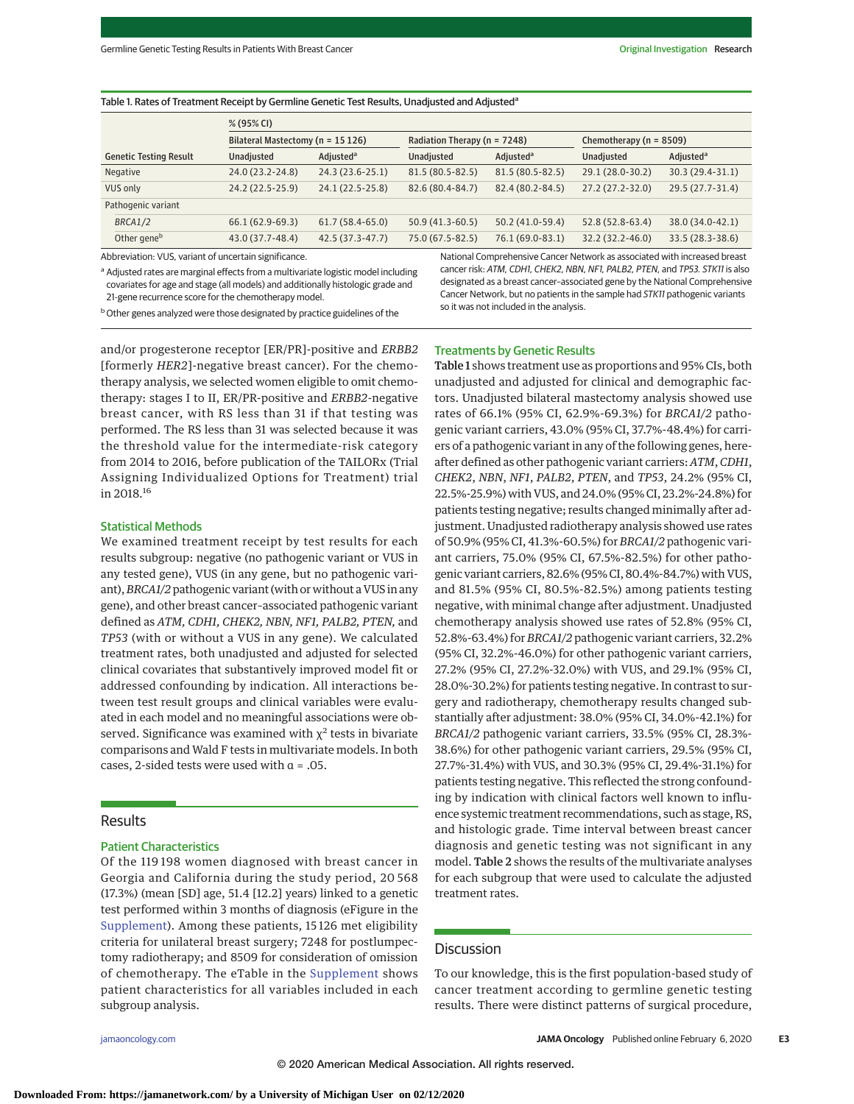| Table 1. Rates of Treatment Receipt by Germline Genetic Test Results, Unadjusted and Adjusted <sup>a</sup> |                                   |                       |                                  |                       |                             |                       |  |
|------------------------------------------------------------------------------------------------------------|-----------------------------------|-----------------------|----------------------------------|-----------------------|-----------------------------|-----------------------|--|
|                                                                                                            | % (95% CI)                        |                       |                                  |                       |                             |                       |  |
|                                                                                                            | Bilateral Mastectomy (n = 15 126) |                       | Radiation Therapy ( $n = 7248$ ) |                       | Chemotherapy ( $n = 8509$ ) |                       |  |
| <b>Genetic Testing Result</b>                                                                              | Unadjusted                        | Adjusted <sup>a</sup> | <b>Unadjusted</b>                | Adjusted <sup>a</sup> | <b>Unadjusted</b>           | Adjusted <sup>a</sup> |  |
| Negative                                                                                                   | 24.0 (23.2-24.8)                  | 24.3 (23.6-25.1)      | 81.5 (80.5-82.5)                 | 81.5 (80.5-82.5)      | 29.1 (28.0-30.2)            | 30.3 (29.4-31.1)      |  |
| VUS only                                                                                                   | 24.2 (22.5-25.9)                  | 24.1 (22.5-25.8)      | 82.6 (80.4-84.7)                 | 82.4 (80.2-84.5)      | $27.2(27.2-32.0)$           | 29.5 (27.7-31.4)      |  |
| Pathogenic variant                                                                                         |                                   |                       |                                  |                       |                             |                       |  |
| BRCA1/2                                                                                                    | 66.1 (62.9-69.3)                  | $61.7(58.4-65.0)$     | $50.9(41.3-60.5)$                | 50.2 (41.0-59.4)      | 52.8 (52.8-63.4)            | 38.0 (34.0-42.1)      |  |
| Other gene <sup>b</sup>                                                                                    | 43.0 (37.7-48.4)                  | $42.5(37.3-47.7)$     | 75.0 (67.5-82.5)                 | 76.1 (69.0-83.1)      | 32.2 (32.2-46.0)            | 33.5 (28.3-38.6)      |  |

Abbreviation: VUS, variant of uncertain significance.

<sup>a</sup> Adjusted rates are marginal effects from a multivariate logistic model including covariates for age and stage (all models) and additionally histologic grade and 21-gene recurrence score for the chemotherapy model.

**b** Other genes analyzed were those designated by practice guidelines of the

National Comprehensive Cancer Network as associated with increased breast cancer risk: ATM, CDH1, CHEK2, NBN, NF1, PALB2, PTEN, and TP53. STK11 is also designated as a breast cancer–associated gene by the National Comprehensive Cancer Network, but no patients in the sample had STK11 pathogenic variants so it was not included in the analysis.

and/or progesterone receptor [ER/PR]-positive and *ERBB2* [formerly *HER2*]-negative breast cancer). For the chemotherapy analysis, we selected women eligible to omit chemotherapy: stages I to II, ER/PR-positive and *ERBB2*-negative breast cancer, with RS less than 31 if that testing was performed. The RS less than 31 was selected because it was the threshold value for the intermediate-risk category from 2014 to 2016, before publication of the TAILORx (Trial

Assigning Individualized Options for Treatment) trial

#### Statistical Methods

in 2018.16

We examined treatment receipt by test results for each results subgroup: negative (no pathogenic variant or VUS in any tested gene), VUS (in any gene, but no pathogenic variant),*BRCA1/2*pathogenic variant (with or without a VUS in any gene), and other breast cancer–associated pathogenic variant defined as *ATM, CDH1, CHEK2, NBN, NF1, PALB2, PTEN,* and *TP53* (with or without a VUS in any gene). We calculated treatment rates, both unadjusted and adjusted for selected clinical covariates that substantively improved model fit or addressed confounding by indication. All interactions between test result groups and clinical variables were evaluated in each model and no meaningful associations were observed. Significance was examined with  $\chi^2$  tests in bivariate comparisons and Wald F tests in multivariate models. In both cases, 2-sided tests were used with α = .05.

# Results

## Patient Characteristics

Of the 119 198 women diagnosed with breast cancer in Georgia and California during the study period, 20 568 (17.3%) (mean [SD] age, 51.4 [12.2] years) linked to a genetic test performed within 3 months of diagnosis (eFigure in the [Supplement\)](https://jamanetwork.com/journals/jama/fullarticle/10.1001/jamaoncol.2019.6400?utm_campaign=articlePDF%26utm_medium=articlePDFlink%26utm_source=articlePDF%26utm_content=jamaoncol.2019.6400). Among these patients, 15 126 met eligibility criteria for unilateral breast surgery; 7248 for postlumpectomy radiotherapy; and 8509 for consideration of omission of chemotherapy. The eTable in the [Supplement](https://jamanetwork.com/journals/jama/fullarticle/10.1001/jamaoncol.2019.6400?utm_campaign=articlePDF%26utm_medium=articlePDFlink%26utm_source=articlePDF%26utm_content=jamaoncol.2019.6400) shows patient characteristics for all variables included in each subgroup analysis.

### Treatments by Genetic Results

Table 1 shows treatment use as proportions and 95% CIs, both unadjusted and adjusted for clinical and demographic factors. Unadjusted bilateral mastectomy analysis showed use rates of 66.1% (95% CI, 62.9%-69.3%) for *BRCA1/2* pathogenic variant carriers, 43.0% (95% CI, 37.7%-48.4%) for carriers of a pathogenic variant in any of the following genes, hereafter defined as other pathogenic variant carriers: *ATM*, *CDH1*, *CHEK2*, *NBN*, *NF1*, *PALB2*, *PTEN*, and *TP53*, 24.2% (95% CI, 22.5%-25.9%) with VUS, and 24.0% (95% CI, 23.2%-24.8%) for patients testing negative; results changed minimally after adjustment. Unadjusted radiotherapy analysis showed use rates of 50.9% (95% CI, 41.3%-60.5%) for *BRCA1/2* pathogenic variant carriers, 75.0% (95% CI, 67.5%-82.5%) for other pathogenic variant carriers, 82.6% (95% CI, 80.4%-84.7%) with VUS, and 81.5% (95% CI, 80.5%-82.5%) among patients testing negative, with minimal change after adjustment. Unadjusted chemotherapy analysis showed use rates of 52.8% (95% CI, 52.8%-63.4%) for *BRCA1/2* pathogenic variant carriers, 32.2% (95% CI, 32.2%-46.0%) for other pathogenic variant carriers, 27.2% (95% CI, 27.2%-32.0%) with VUS, and 29.1% (95% CI, 28.0%-30.2%) for patients testing negative. In contrast to surgery and radiotherapy, chemotherapy results changed substantially after adjustment: 38.0% (95% CI, 34.0%-42.1%) for *BRCA1/2* pathogenic variant carriers, 33.5% (95% CI, 28.3%- 38.6%) for other pathogenic variant carriers, 29.5% (95% CI, 27.7%-31.4%) with VUS, and 30.3% (95% CI, 29.4%-31.1%) for patients testing negative. This reflected the strong confounding by indication with clinical factors well known to influence systemic treatment recommendations, such as stage, RS, and histologic grade. Time interval between breast cancer diagnosis and genetic testing was not significant in any model. Table 2 shows the results of the multivariate analyses for each subgroup that were used to calculate the adjusted treatment rates.

# **Discussion**

To our knowledge, this is the first population-based study of cancer treatment according to germline genetic testing results. There were distinct patterns of surgical procedure,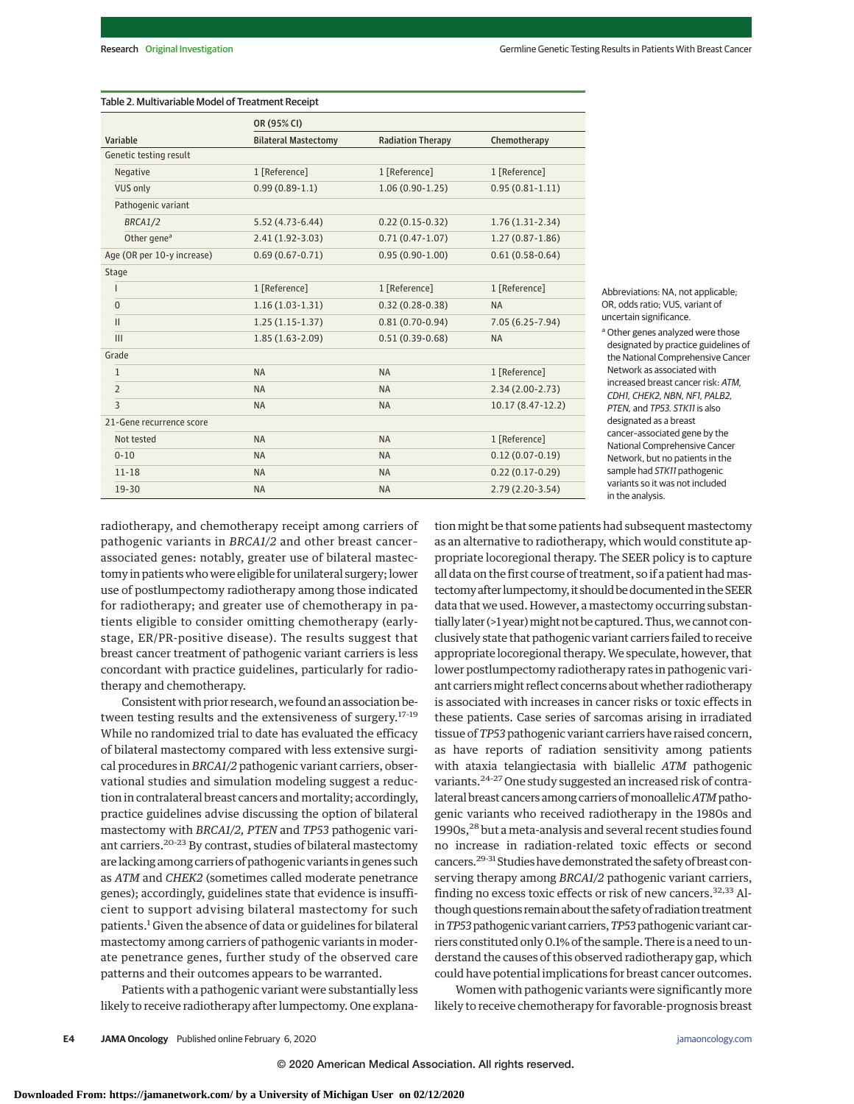Table 2. Multivariable Model of Treatment Receipt

|                            | OR (95% CI)                 |                          |                     |  |  |
|----------------------------|-----------------------------|--------------------------|---------------------|--|--|
| Variable                   | <b>Bilateral Mastectomy</b> | <b>Radiation Therapy</b> | Chemotherapy        |  |  |
| Genetic testing result     |                             |                          |                     |  |  |
| Negative                   | 1 [Reference]               | 1 [Reference]            | 1 [Reference]       |  |  |
| VUS only                   | $0.99(0.89-1.1)$            | $1.06(0.90-1.25)$        | $0.95(0.81 - 1.11)$ |  |  |
| Pathogenic variant         |                             |                          |                     |  |  |
| BRCA1/2                    | $5.52(4.73-6.44)$           | $0.22(0.15-0.32)$        | $1.76(1.31-2.34)$   |  |  |
| Other gene <sup>a</sup>    | $2.41(1.92 - 3.03)$         | $0.71(0.47 - 1.07)$      | $1.27(0.87 - 1.86)$ |  |  |
| Age (OR per 10-y increase) | $0.69(0.67 - 0.71)$         | $0.95(0.90-1.00)$        | $0.61(0.58-0.64)$   |  |  |
| Stage                      |                             |                          |                     |  |  |
| I                          | 1 [Reference]               | 1 [Reference]            | 1 [Reference]       |  |  |
| $\overline{0}$             | $1.16(1.03-1.31)$           | $0.32(0.28-0.38)$        | <b>NA</b>           |  |  |
| $\mathbf{H}$               | $1.25(1.15-1.37)$           | $0.81(0.70-0.94)$        | 7.05 (6.25-7.94)    |  |  |
| III                        | $1.85(1.63-2.09)$           | $0.51(0.39-0.68)$        | <b>NA</b>           |  |  |
| Grade                      |                             |                          |                     |  |  |
| $\mathbf{1}$               | <b>NA</b>                   | <b>NA</b>                | 1 [Reference]       |  |  |
| $\overline{2}$             | <b>NA</b>                   | <b>NA</b>                | $2.34(2.00-2.73)$   |  |  |
| 3                          | <b>NA</b>                   | <b>NA</b>                | 10.17 (8.47-12.2)   |  |  |
| 21-Gene recurrence score   |                             |                          |                     |  |  |
| Not tested                 | <b>NA</b>                   | <b>NA</b>                | 1 [Reference]       |  |  |
| $0 - 10$                   | <b>NA</b>                   | <b>NA</b>                | $0.12(0.07 - 0.19)$ |  |  |
| $11 - 18$                  | <b>NA</b>                   | <b>NA</b>                | $0.22(0.17-0.29)$   |  |  |
| 19-30                      | <b>NA</b>                   | <b>NA</b>                | $2.79(2.20-3.54)$   |  |  |

Abbreviations: NA, not applicable; OR, odds ratio; VUS, variant of uncertain significance.

<sup>a</sup> Other genes analyzed were those designated by practice guidelines of the National Comprehensive Cancer Network as associated with increased breast cancer risk: ATM, CDH1, CHEK2, NBN, NF1, PALB2, PTEN, and TP53. STK11 is also designated as a breast cancer–associated gene by the National Comprehensive Cancer Network, but no patients in the sample had STK11 pathogenic variants so it was not included in the analysis.

radiotherapy, and chemotherapy receipt among carriers of pathogenic variants in *BRCA1/2* and other breast cancer– associated genes: notably, greater use of bilateral mastectomy in patients who were eligible for unilateral surgery; lower use of postlumpectomy radiotherapy among those indicated for radiotherapy; and greater use of chemotherapy in patients eligible to consider omitting chemotherapy (earlystage, ER/PR-positive disease). The results suggest that breast cancer treatment of pathogenic variant carriers is less concordant with practice guidelines, particularly for radiotherapy and chemotherapy.

Consistent with prior research, we found an association between testing results and the extensiveness of surgery.<sup>17-19</sup> While no randomized trial to date has evaluated the efficacy of bilateral mastectomy compared with less extensive surgical procedures in *BRCA1/2* pathogenic variant carriers, observational studies and simulation modeling suggest a reduction in contralateral breast cancers and mortality; accordingly, practice guidelines advise discussing the option of bilateral mastectomy with *BRCA1/2, PTEN* and *TP53* pathogenic variant carriers.20-23 By contrast, studies of bilateral mastectomy are lacking among carriers of pathogenic variants in genes such as *ATM* and *CHEK2* (sometimes called moderate penetrance genes); accordingly, guidelines state that evidence is insufficient to support advising bilateral mastectomy for such patients.<sup>1</sup> Given the absence of data or guidelines for bilateral mastectomy among carriers of pathogenic variants in moderate penetrance genes, further study of the observed care patterns and their outcomes appears to be warranted.

Patients with a pathogenic variant were substantially less likely to receive radiotherapy after lumpectomy. One explana-

tion might be that some patients had subsequent mastectomy as an alternative to radiotherapy, which would constitute appropriate locoregional therapy. The SEER policy is to capture all data on the first course of treatment, so if a patient had mastectomy after lumpectomy, it should bedocumented in the SEER data that we used. However, a mastectomy occurring substantially later (>1 year) might not be captured. Thus, we cannot conclusively state that pathogenic variant carriers failed to receive appropriate locoregional therapy.We speculate, however, that lower postlumpectomy radiotherapy rates in pathogenic variant carriers might reflect concerns about whether radiotherapy is associated with increases in cancer risks or toxic effects in these patients. Case series of sarcomas arising in irradiated tissue of*TP53* pathogenic variant carriers have raised concern, as have reports of radiation sensitivity among patients with ataxia telangiectasia with biallelic *ATM* pathogenic variants.<sup>24-27</sup> One study suggested an increased risk of contralateral breast cancers among carriers of monoallelic ATM pathogenic variants who received radiotherapy in the 1980s and 1990s,<sup>28</sup> but a meta-analysis and several recent studies found no increase in radiation-related toxic effects or second cancers.<sup>29-31</sup> Studies have demonstrated the safety of breast conserving therapy among *BRCA1/2* pathogenic variant carriers, finding no excess toxic effects or risk of new cancers.<sup>32,33</sup> Although questions remain about the safety of radiation treatment in*TP53*pathogenic variant carriers,*TP53*pathogenic variant carriers constituted only 0.1% of the sample. There is a need to understand the causes of this observed radiotherapy gap, which could have potential implications for breast cancer outcomes.

Women with pathogenic variants were significantly more likely to receive chemotherapy for favorable-prognosis breast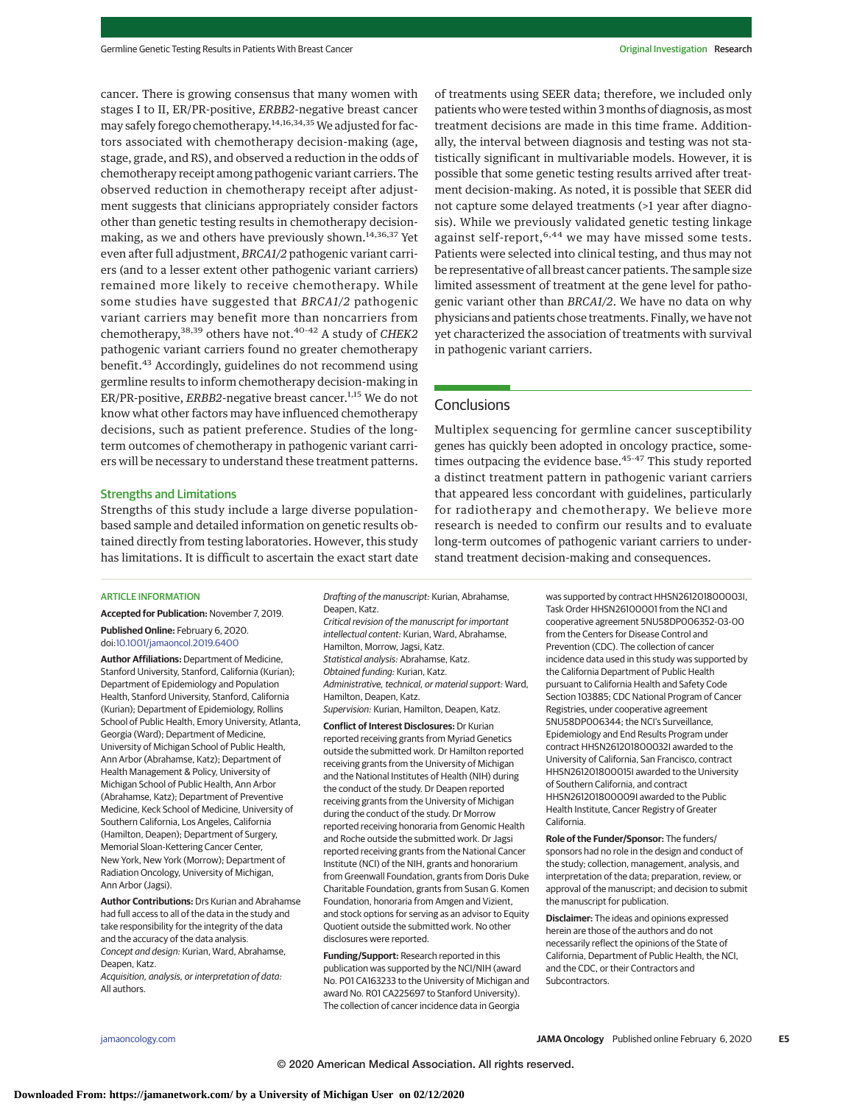cancer. There is growing consensus that many women with stages I to II, ER/PR-positive, *ERBB2*-negative breast cancer may safely forego chemotherapy.<sup>14,16,34,35</sup> We adjusted for factors associated with chemotherapy decision-making (age, stage, grade, and RS), and observed a reduction in the odds of chemotherapy receipt among pathogenic variant carriers. The observed reduction in chemotherapy receipt after adjustment suggests that clinicians appropriately consider factors other than genetic testing results in chemotherapy decisionmaking, as we and others have previously shown.14,36,37 Yet even after full adjustment, *BRCA1/2* pathogenic variant carriers (and to a lesser extent other pathogenic variant carriers) remained more likely to receive chemotherapy. While some studies have suggested that *BRCA1/2* pathogenic variant carriers may benefit more than noncarriers from chemotherapy,38,39 others have not.40-42 A study of *CHEK2* pathogenic variant carriers found no greater chemotherapy benefit.<sup>43</sup> Accordingly, guidelines do not recommend using germline results to inform chemotherapy decision-making in ER/PR-positive, *ERBB2*-negative breast cancer.<sup>1,15</sup> We do not know what other factors may have influenced chemotherapy decisions, such as patient preference. Studies of the longterm outcomes of chemotherapy in pathogenic variant carriers will be necessary to understand these treatment patterns.

### Strengths and Limitations

Strengths of this study include a large diverse populationbased sample and detailed information on genetic results obtained directly from testing laboratories. However, this study has limitations. It is difficult to ascertain the exact start date

of treatments using SEER data; therefore, we included only patients who were tested within 3 months of diagnosis, as most treatment decisions are made in this time frame. Additionally, the interval between diagnosis and testing was not statistically significant in multivariable models. However, it is possible that some genetic testing results arrived after treatment decision-making. As noted, it is possible that SEER did not capture some delayed treatments (>1 year after diagnosis). While we previously validated genetic testing linkage against self-report,  $6,44$  we may have missed some tests. Patients were selected into clinical testing, and thus may not be representative of all breast cancer patients. The sample size limited assessment of treatment at the gene level for pathogenic variant other than *BRCA1/2*. We have no data on why physicians and patients chose treatments. Finally, we have not yet characterized the association of treatments with survival in pathogenic variant carriers.

# **Conclusions**

Multiplex sequencing for germline cancer susceptibility genes has quickly been adopted in oncology practice, sometimes outpacing the evidence base.<sup>45-47</sup> This study reported a distinct treatment pattern in pathogenic variant carriers that appeared less concordant with guidelines, particularly for radiotherapy and chemotherapy. We believe more research is needed to confirm our results and to evaluate long-term outcomes of pathogenic variant carriers to understand treatment decision-making and consequences.

## ARTICLE INFORMATION

**Accepted for Publication:** November 7, 2019. **Published Online:** February 6, 2020.

doi[:10.1001/jamaoncol.2019.6400](https://jamanetwork.com/journals/jama/fullarticle/10.1001/jamaoncol.2019.6400?utm_campaign=articlePDF%26utm_medium=articlePDFlink%26utm_source=articlePDF%26utm_content=jamaoncol.2019.6400)

**Author Affiliations:** Department of Medicine, Stanford University, Stanford, California (Kurian); Department of Epidemiology and Population Health, Stanford University, Stanford, California (Kurian); Department of Epidemiology, Rollins School of Public Health, Emory University, Atlanta, Georgia (Ward); Department of Medicine, University of Michigan School of Public Health, Ann Arbor (Abrahamse, Katz); Department of Health Management & Policy, University of Michigan School of Public Health, Ann Arbor (Abrahamse, Katz); Department of Preventive Medicine, Keck School of Medicine, University of Southern California, Los Angeles, California (Hamilton, Deapen); Department of Surgery, Memorial Sloan-Kettering Cancer Center, New York, New York (Morrow); Department of Radiation Oncology, University of Michigan, Ann Arbor (Jagsi).

**Author Contributions:** Drs Kurian and Abrahamse had full access to all of the data in the study and take responsibility for the integrity of the data and the accuracy of the data analysis. Concept and design: Kurian, Ward, Abrahamse, Deapen, Katz.

Acquisition, analysis, or interpretation of data: All authors.

Deapen, Katz. Critical revision of the manuscript for important intellectual content: Kurian, Ward, Abrahamse, Hamilton, Morrow, Jagsi, Katz. Statistical analysis: Abrahamse, Katz. Obtained funding: Kurian, Katz. Administrative, technical, or material support: Ward, Hamilton, Deapen, Katz. Supervision: Kurian, Hamilton, Deapen, Katz.

Drafting of the manuscript: Kurian, Abrahamse,

**Conflict of Interest Disclosures:** Dr Kurian

reported receiving grants from Myriad Genetics outside the submitted work. Dr Hamilton reported receiving grants from the University of Michigan and the National Institutes of Health (NIH) during the conduct of the study. Dr Deapen reported receiving grants from the University of Michigan during the conduct of the study. Dr Morrow reported receiving honoraria from Genomic Health and Roche outside the submitted work. Dr Jagsi reported receiving grants from the National Cancer Institute (NCI) of the NIH, grants and honorarium from Greenwall Foundation, grants from Doris Duke Charitable Foundation, grants from Susan G. Komen Foundation, honoraria from Amgen and Vizient, and stock options for serving as an advisor to Equity Quotient outside the submitted work. No other disclosures were reported.

**Funding/Support:** Research reported in this publication was supported by the NCI/NIH (award No. P01 CA163233 to the University of Michigan and award No. R01 CA225697 to Stanford University). The collection of cancer incidence data in Georgia

was supported by contract HHSN261201800003I, Task Order HHSN26100001 from the NCI and cooperative agreement 5NU58DP006352-03-00 from the Centers for Disease Control and Prevention (CDC). The collection of cancer incidence data used in this study was supported by the California Department of Public Health pursuant to California Health and Safety Code Section 103885; CDC National Program of Cancer Registries, under cooperative agreement 5NU58DP006344; the NCI's Surveillance, Epidemiology and End Results Program under contract HHSN261201800032I awarded to the University of California, San Francisco, contract HHSN261201800015I awarded to the University of Southern California, and contract HHSN261201800009I awarded to the Public Health Institute, Cancer Registry of Greater California.

**Role of the Funder/Sponsor:** The funders/ sponsors had no role in the design and conduct of the study; collection, management, analysis, and interpretation of the data; preparation, review, or approval of the manuscript; and decision to submit the manuscript for publication.

**Disclaimer:** The ideas and opinions expressed herein are those of the authors and do not necessarily reflect the opinions of the State of California, Department of Public Health, the NCI, and the CDC, or their Contractors and Subcontractors.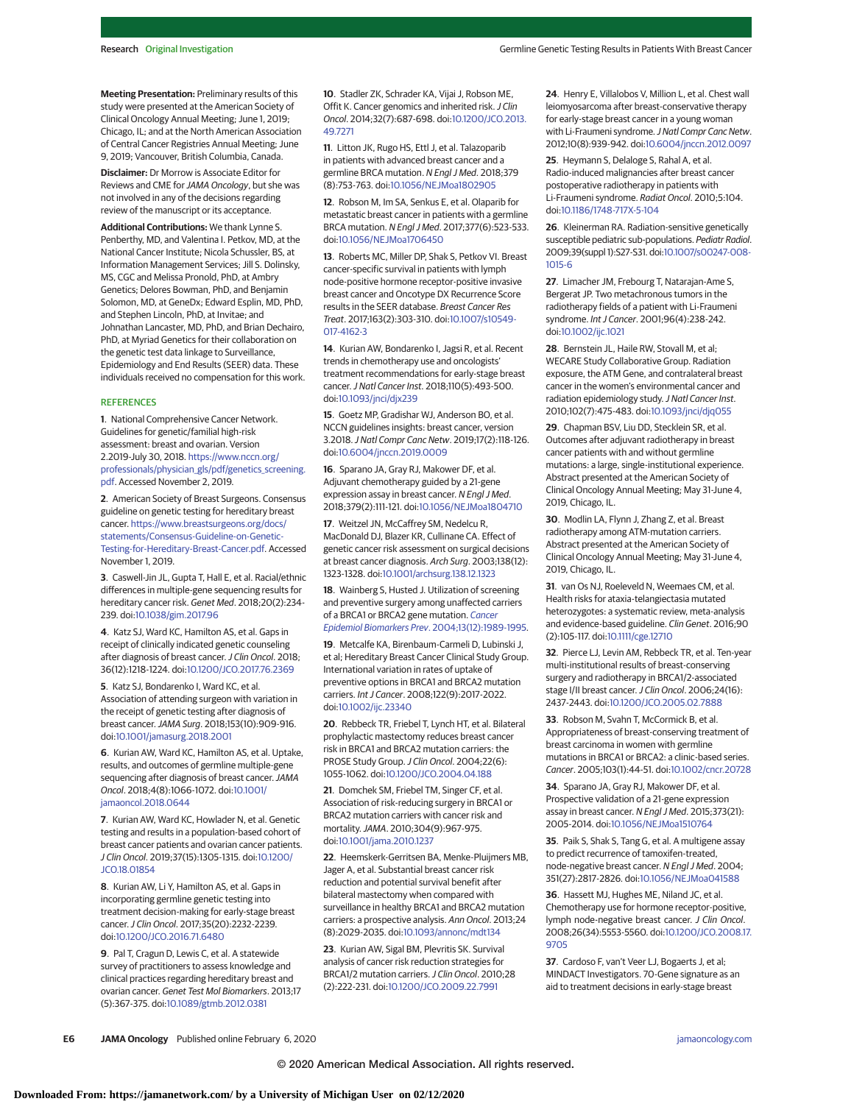**Meeting Presentation:** Preliminary results of this study were presented at the American Society of Clinical Oncology Annual Meeting; June 1, 2019; Chicago, IL; and at the North American Association of Central Cancer Registries Annual Meeting; June 9, 2019; Vancouver, British Columbia, Canada.

**Disclaimer:** Dr Morrow is Associate Editor for Reviews and CME for JAMA Oncology, but she was not involved in any of the decisions regarding review of the manuscript or its acceptance.

**Additional Contributions:** We thank Lynne S. Penberthy, MD, and Valentina I. Petkov, MD, at the National Cancer Institute; Nicola Schussler, BS, at Information Management Services; Jill S. Dolinsky, MS, CGC and Melissa Pronold, PhD, at Ambry Genetics; Delores Bowman, PhD, and Benjamin Solomon, MD, at GeneDx; Edward Esplin, MD, PhD, and Stephen Lincoln, PhD, at Invitae; and Johnathan Lancaster, MD, PhD, and Brian Dechairo, PhD, at Myriad Genetics for their collaboration on the genetic test data linkage to Surveillance, Epidemiology and End Results (SEER) data. These individuals received no compensation for this work.

#### **REFERENCES**

**1**. National Comprehensive Cancer Network. Guidelines for genetic/familial high-risk assessment: breast and ovarian. Version 2.2019-July 30, 2018. [https://www.nccn.org/](https://www.nccn.org/professionals/physician_gls/pdf/genetics_screening.pdf) [professionals/physician\\_gls/pdf/genetics\\_screening.](https://www.nccn.org/professionals/physician_gls/pdf/genetics_screening.pdf) [pdf.](https://www.nccn.org/professionals/physician_gls/pdf/genetics_screening.pdf) Accessed November 2, 2019.

**2**. American Society of Breast Surgeons. Consensus guideline on genetic testing for hereditary breast cancer. [https://www.breastsurgeons.org/docs/](https://www.breastsurgeons.org/docs/statements/Consensus-Guideline-on-Genetic-Testing-for-Hereditary-Breast-Cancer.pdf) [statements/Consensus-Guideline-on-Genetic-](https://www.breastsurgeons.org/docs/statements/Consensus-Guideline-on-Genetic-Testing-for-Hereditary-Breast-Cancer.pdf)[Testing-for-Hereditary-Breast-Cancer.pdf.](https://www.breastsurgeons.org/docs/statements/Consensus-Guideline-on-Genetic-Testing-for-Hereditary-Breast-Cancer.pdf) Accessed November 1, 2019.

**3**. Caswell-Jin JL, Gupta T, Hall E, et al. Racial/ethnic differences in multiple-gene sequencing results for hereditary cancer risk. Genet Med. 2018;20(2):234- 239. doi[:10.1038/gim.2017.96](https://dx.doi.org/10.1038/gim.2017.96)

**4**. Katz SJ, Ward KC, Hamilton AS, et al. Gaps in receipt of clinically indicated genetic counseling after diagnosis of breast cancer. J Clin Oncol. 2018; 36(12):1218-1224. doi[:10.1200/JCO.2017.76.2369](https://dx.doi.org/10.1200/JCO.2017.76.2369)

**5**. Katz SJ, Bondarenko I, Ward KC, et al. Association of attending surgeon with variation in the receipt of genetic testing after diagnosis of breast cancer.JAMA Surg. 2018;153(10):909-916. doi[:10.1001/jamasurg.2018.2001](https://jamanetwork.com/journals/jama/fullarticle/10.1001/jamasurg.2018.2001?utm_campaign=articlePDF%26utm_medium=articlePDFlink%26utm_source=articlePDF%26utm_content=jamaoncol.2019.6400)

**6**. Kurian AW, Ward KC, Hamilton AS, et al. Uptake, results, and outcomes of germline multiple-gene sequencing after diagnosis of breast cancer. JAMA Oncol. 2018;4(8):1066-1072. doi[:10.1001/](https://jamanetwork.com/journals/jama/fullarticle/10.1001/jamaoncol.2018.0644?utm_campaign=articlePDF%26utm_medium=articlePDFlink%26utm_source=articlePDF%26utm_content=jamaoncol.2019.6400) [jamaoncol.2018.0644](https://jamanetwork.com/journals/jama/fullarticle/10.1001/jamaoncol.2018.0644?utm_campaign=articlePDF%26utm_medium=articlePDFlink%26utm_source=articlePDF%26utm_content=jamaoncol.2019.6400)

**7**. Kurian AW, Ward KC, Howlader N, et al. Genetic testing and results in a population-based cohort of breast cancer patients and ovarian cancer patients. J Clin Oncol. 2019;37(15):1305-1315. doi[:10.1200/](https://dx.doi.org/10.1200/JCO.18.01854) [JCO.18.01854](https://dx.doi.org/10.1200/JCO.18.01854)

**8**. Kurian AW, Li Y, Hamilton AS, et al. Gaps in incorporating germline genetic testing into treatment decision-making for early-stage breast cancer.J Clin Oncol. 2017;35(20):2232-2239. doi[:10.1200/JCO.2016.71.6480](https://dx.doi.org/10.1200/JCO.2016.71.6480)

**9**. Pal T, Cragun D, Lewis C, et al. A statewide survey of practitioners to assess knowledge and clinical practices regarding hereditary breast and ovarian cancer. Genet Test Mol Biomarkers. 2013;17 (5):367-375. doi[:10.1089/gtmb.2012.0381](https://dx.doi.org/10.1089/gtmb.2012.0381)

**10**. Stadler ZK, Schrader KA, Vijai J, Robson ME, Offit K. Cancer genomics and inherited risk. J Clin Oncol. 2014;32(7):687-698. doi[:10.1200/JCO.2013.](https://dx.doi.org/10.1200/JCO.2013.49.7271) [49.7271](https://dx.doi.org/10.1200/JCO.2013.49.7271)

**11**. Litton JK, Rugo HS, Ettl J, et al. Talazoparib in patients with advanced breast cancer and a germline BRCA mutation. N Engl J Med. 2018;379 (8):753-763. doi[:10.1056/NEJMoa1802905](https://dx.doi.org/10.1056/NEJMoa1802905)

**12**. Robson M, Im SA, Senkus E, et al. Olaparib for metastatic breast cancer in patients with a germline BRCA mutation. N Engl J Med. 2017;377(6):523-533. doi[:10.1056/NEJMoa1706450](https://dx.doi.org/10.1056/NEJMoa1706450)

**13**. Roberts MC, Miller DP, Shak S, Petkov VI. Breast cancer-specific survival in patients with lymph node-positive hormone receptor-positive invasive breast cancer and Oncotype DX Recurrence Score results in the SEER database. Breast Cancer Res Treat. 2017;163(2):303-310. doi[:10.1007/s10549-](https://dx.doi.org/10.1007/s10549-017-4162-3) [017-4162-3](https://dx.doi.org/10.1007/s10549-017-4162-3)

**14**. Kurian AW, Bondarenko I, Jagsi R, et al. Recent trends in chemotherapy use and oncologists' treatment recommendations for early-stage breast cancer.J Natl Cancer Inst. 2018;110(5):493-500. doi[:10.1093/jnci/djx239](https://dx.doi.org/10.1093/jnci/djx239)

**15**. Goetz MP, Gradishar WJ, Anderson BO, et al. NCCN guidelines insights: breast cancer, version 3.2018.J Natl Compr Canc Netw. 2019;17(2):118-126. doi[:10.6004/jnccn.2019.0009](https://dx.doi.org/10.6004/jnccn.2019.0009)

**16**. Sparano JA, Gray RJ, Makower DF, et al. Adjuvant chemotherapy guided by a 21-gene expression assay in breast cancer. N Engl J Med. 2018;379(2):111-121. doi[:10.1056/NEJMoa1804710](https://dx.doi.org/10.1056/NEJMoa1804710)

**17**. Weitzel JN, McCaffrey SM, Nedelcu R, MacDonald DJ, Blazer KR, Cullinane CA. Effect of genetic cancer risk assessment on surgical decisions at breast cancer diagnosis. Arch Surg. 2003;138(12): 1323-1328. doi[:10.1001/archsurg.138.12.1323](https://jamanetwork.com/journals/jama/fullarticle/10.1001/archsurg.138.12.1323?utm_campaign=articlePDF%26utm_medium=articlePDFlink%26utm_source=articlePDF%26utm_content=jamaoncol.2019.6400)

**18**. Wainberg S, Husted J. Utilization of screening and preventive surgery among unaffected carriers of a BRCA1 or BRCA2 gene mutation. [Cancer](https://www.ncbi.nlm.nih.gov/pubmed/15598752) [Epidemiol Biomarkers Prev](https://www.ncbi.nlm.nih.gov/pubmed/15598752). 2004;13(12):1989-1995.

**19**. Metcalfe KA, Birenbaum-Carmeli D, Lubinski J, et al; Hereditary Breast Cancer Clinical Study Group. International variation in rates of uptake of preventive options in BRCA1 and BRCA2 mutation carriers. Int J Cancer. 2008;122(9):2017-2022. doi[:10.1002/ijc.23340](https://dx.doi.org/10.1002/ijc.23340)

**20**. Rebbeck TR, Friebel T, Lynch HT, et al. Bilateral prophylactic mastectomy reduces breast cancer risk in BRCA1 and BRCA2 mutation carriers: the PROSE Study Group. J Clin Oncol. 2004;22(6): 1055-1062. doi[:10.1200/JCO.2004.04.188](https://dx.doi.org/10.1200/JCO.2004.04.188)

**21**. Domchek SM, Friebel TM, Singer CF, et al. Association of risk-reducing surgery in BRCA1 or BRCA2 mutation carriers with cancer risk and mortality.JAMA. 2010;304(9):967-975. doi[:10.1001/jama.2010.1237](https://jamanetwork.com/journals/jama/fullarticle/10.1001/jama.2010.1237?utm_campaign=articlePDF%26utm_medium=articlePDFlink%26utm_source=articlePDF%26utm_content=jamaoncol.2019.6400)

**22**. Heemskerk-Gerritsen BA, Menke-Pluijmers MB, Jager A, et al. Substantial breast cancer risk reduction and potential survival benefit after bilateral mastectomy when compared with surveillance in healthy BRCA1 and BRCA2 mutation carriers: a prospective analysis. Ann Oncol. 2013;24 (8):2029-2035. doi[:10.1093/annonc/mdt134](https://dx.doi.org/10.1093/annonc/mdt134)

**23**. Kurian AW, Sigal BM, Plevritis SK. Survival analysis of cancer risk reduction strategies for BRCA1/2 mutation carriers. J Clin Oncol. 2010;28 (2):222-231. doi[:10.1200/JCO.2009.22.7991](https://dx.doi.org/10.1200/JCO.2009.22.7991)

**24**. Henry E, Villalobos V, Million L, et al. Chest wall leiomyosarcoma after breast-conservative therapy for early-stage breast cancer in a young woman with Li-Fraumeni syndrome. J Natl Compr Canc Netw. 2012;10(8):939-942. doi[:10.6004/jnccn.2012.0097](https://dx.doi.org/10.6004/jnccn.2012.0097)

**25**. Heymann S, Delaloge S, Rahal A, et al. Radio-induced malignancies after breast cancer postoperative radiotherapy in patients with Li-Fraumeni syndrome. Radiat Oncol. 2010;5:104. doi[:10.1186/1748-717X-5-104](https://dx.doi.org/10.1186/1748-717X-5-104)

**26**. Kleinerman RA. Radiation-sensitive genetically susceptible pediatric sub-populations. Pediatr Radiol. 2009;39(suppl 1):S27-S31. doi[:10.1007/s00247-008-](https://dx.doi.org/10.1007/s00247-008-1015-6) [1015-6](https://dx.doi.org/10.1007/s00247-008-1015-6)

**27**. Limacher JM, Frebourg T, Natarajan-Ame S, Bergerat JP. Two metachronous tumors in the radiotherapy fields of a patient with Li-Fraumeni syndrome. Int J Cancer. 2001;96(4):238-242. doi[:10.1002/ijc.1021](https://dx.doi.org/10.1002/ijc.1021)

**28**. Bernstein JL, Haile RW, Stovall M, et al; WECARE Study Collaborative Group. Radiation exposure, the ATM Gene, and contralateral breast cancer in the women's environmental cancer and radiation epidemiology study. J Natl Cancer Inst. 2010;102(7):475-483. doi[:10.1093/jnci/djq055](https://dx.doi.org/10.1093/jnci/djq055)

**29**. Chapman BSV, Liu DD, Stecklein SR, et al. Outcomes after adjuvant radiotherapy in breast cancer patients with and without germline mutations: a large, single-institutional experience. Abstract presented at the American Society of Clinical Oncology Annual Meeting; May 31-June 4, 2019, Chicago, IL.

**30**. Modlin LA, Flynn J, Zhang Z, et al. Breast radiotherapy among ATM-mutation carriers. Abstract presented at the American Society of Clinical Oncology Annual Meeting; May 31-June 4, 2019, Chicago, IL.

**31**. van Os NJ, Roeleveld N, Weemaes CM, et al. Health risks for ataxia-telangiectasia mutated heterozygotes: a systematic review, meta-analysis and evidence-based guideline. Clin Genet. 2016;90 (2):105-117. doi[:10.1111/cge.12710](https://dx.doi.org/10.1111/cge.12710)

**32**. Pierce LJ, Levin AM, Rebbeck TR, et al. Ten-year multi-institutional results of breast-conserving surgery and radiotherapy in BRCA1/2-associated stage I/II breast cancer. J Clin Oncol. 2006;24(16): 2437-2443. doi[:10.1200/JCO.2005.02.7888](https://dx.doi.org/10.1200/JCO.2005.02.7888)

**33**. Robson M, Svahn T, McCormick B, et al. Appropriateness of breast-conserving treatment of breast carcinoma in women with germline mutations in BRCA1 or BRCA2: a clinic-based series. Cancer. 2005;103(1):44-51. doi[:10.1002/cncr.20728](https://dx.doi.org/10.1002/cncr.20728)

**34**. Sparano JA, Gray RJ, Makower DF, et al. Prospective validation of a 21-gene expression assay in breast cancer. N Engl J Med. 2015;373(21): 2005-2014. doi[:10.1056/NEJMoa1510764](https://dx.doi.org/10.1056/NEJMoa1510764)

**35**. Paik S, Shak S, Tang G, et al. A multigene assay to predict recurrence of tamoxifen-treated, node-negative breast cancer. N Engl J Med. 2004; 351(27):2817-2826. doi[:10.1056/NEJMoa041588](https://dx.doi.org/10.1056/NEJMoa041588)

**36**. Hassett MJ, Hughes ME, Niland JC, et al. Chemotherapy use for hormone receptor-positive, lymph node-negative breast cancer. J Clin Oncol. 2008;26(34):5553-5560. doi[:10.1200/JCO.2008.17.](https://dx.doi.org/10.1200/JCO.2008.17.9705) [9705](https://dx.doi.org/10.1200/JCO.2008.17.9705)

**37**. Cardoso F, van't Veer LJ, Bogaerts J, et al; MINDACT Investigators. 70-Gene signature as an aid to treatment decisions in early-stage breast